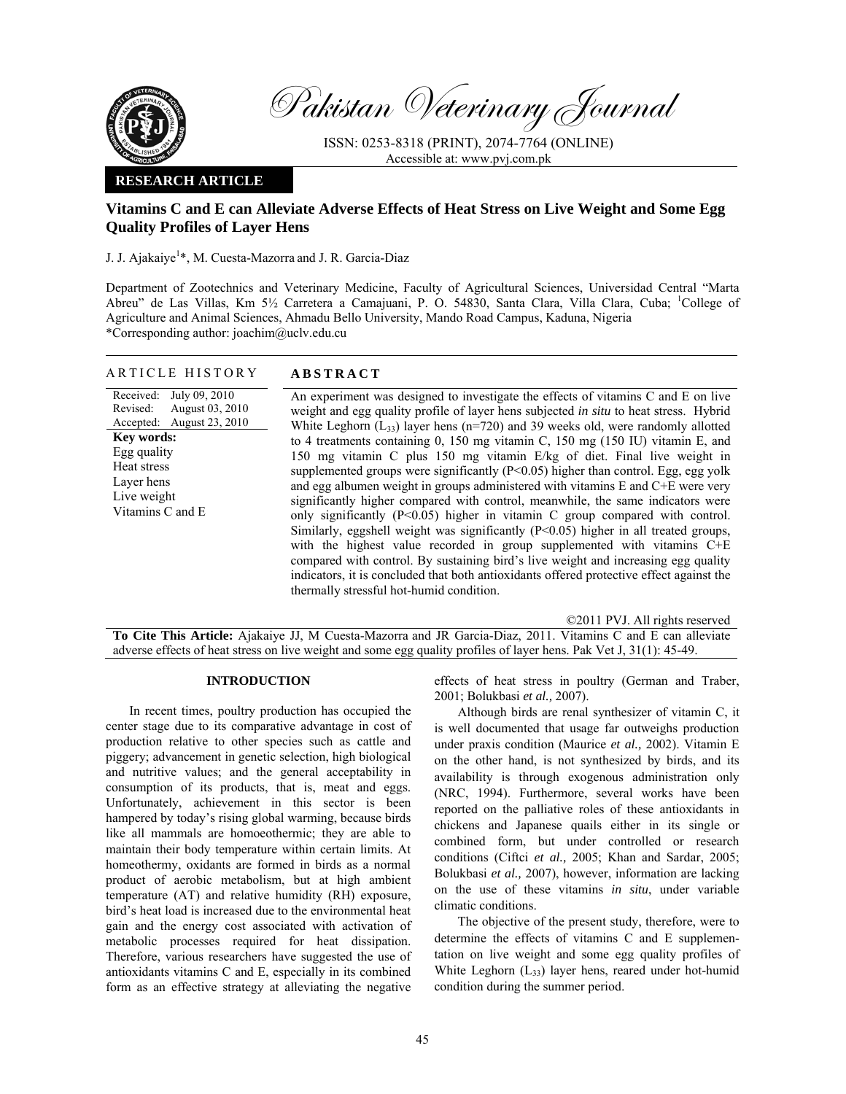

Pakistan Veterinary Journal

ISSN: 0253-8318 (PRINT), 2074-7764 (ONLINE) Accessible at: www.pvj.com.pk

### **RESEARCH ARTICLE**

# **Vitamins C and E can Alleviate Adverse Effects of Heat Stress on Live Weight and Some Egg Quality Profiles of Layer Hens**

J. J. Ajakaiye<sup>1</sup>\*, M. Cuesta-Mazorra and J. R. Garcia-Diaz

Department of Zootechnics and Veterinary Medicine, Faculty of Agricultural Sciences, Universidad Central "Marta Abreu" de Las Villas, Km 5½ Carretera a Camajuani, P. O. 54830, Santa Clara, Villa Clara, Cuba; <sup>1</sup>College of Agriculture and Animal Sciences, Ahmadu Bello University, Mando Road Campus, Kaduna, Nigeria \*Corresponding author: joachim@uclv.edu.cu

## ARTICLE HISTORY **ABSTRACT**

Received: Revised: Accepted: July 09, 2010 August 03, 2010 August 23, 2010 **Key words:**  Egg quality Heat stress Layer hens Live weight Vitamins C and E

An experiment was designed to investigate the effects of vitamins C and E on live weight and egg quality profile of layer hens subjected *in situ* to heat stress. Hybrid White Leghorn  $(L_{33})$  layer hens (n=720) and 39 weeks old, were randomly allotted to 4 treatments containing 0, 150 mg vitamin C, 150 mg (150 IU) vitamin E, and 150 mg vitamin C plus 150 mg vitamin E/kg of diet. Final live weight in supplemented groups were significantly  $(P<0.05)$  higher than control. Egg, egg yolk and egg albumen weight in groups administered with vitamins E and C+E were very significantly higher compared with control, meanwhile, the same indicators were only significantly (P<0.05) higher in vitamin C group compared with control. Similarly, eggshell weight was significantly (P<0.05) higher in all treated groups, with the highest value recorded in group supplemented with vitamins C+E compared with control. By sustaining bird's live weight and increasing egg quality indicators, it is concluded that both antioxidants offered protective effect against the thermally stressful hot-humid condition.

©2011 PVJ. All rights reserved **To Cite This Article:** Ajakaiye JJ, M Cuesta-Mazorra and JR Garcia-Diaz, 2011. Vitamins C and E can alleviate adverse effects of heat stress on live weight and some egg quality profiles of layer hens. Pak Vet J, 31(1): 45-49.

## **INTRODUCTION**

In recent times, poultry production has occupied the center stage due to its comparative advantage in cost of production relative to other species such as cattle and piggery; advancement in genetic selection, high biological and nutritive values; and the general acceptability in consumption of its products, that is, meat and eggs. Unfortunately, achievement in this sector is been hampered by today's rising global warming, because birds like all mammals are homoeothermic; they are able to maintain their body temperature within certain limits. At homeothermy, oxidants are formed in birds as a normal product of aerobic metabolism, but at high ambient temperature (AT) and relative humidity (RH) exposure, bird's heat load is increased due to the environmental heat gain and the energy cost associated with activation of metabolic processes required for heat dissipation. Therefore, various researchers have suggested the use of antioxidants vitamins C and E, especially in its combined form as an effective strategy at alleviating the negative

effects of heat stress in poultry (German and Traber, 2001; Bolukbasi *et al.,* 2007).

Although birds are renal synthesizer of vitamin C, it is well documented that usage far outweighs production under praxis condition (Maurice *et al.,* 2002). Vitamin E on the other hand, is not synthesized by birds, and its availability is through exogenous administration only (NRC, 1994). Furthermore, several works have been reported on the palliative roles of these antioxidants in chickens and Japanese quails either in its single or combined form, but under controlled or research conditions (Ciftci *et al.,* 2005; Khan and Sardar, 2005; Bolukbasi *et al.,* 2007), however, information are lacking on the use of these vitamins *in situ*, under variable climatic conditions.

The objective of the present study, therefore, were to determine the effects of vitamins C and E supplementation on live weight and some egg quality profiles of White Leghorn (L<sub>33</sub>) layer hens, reared under hot-humid condition during the summer period.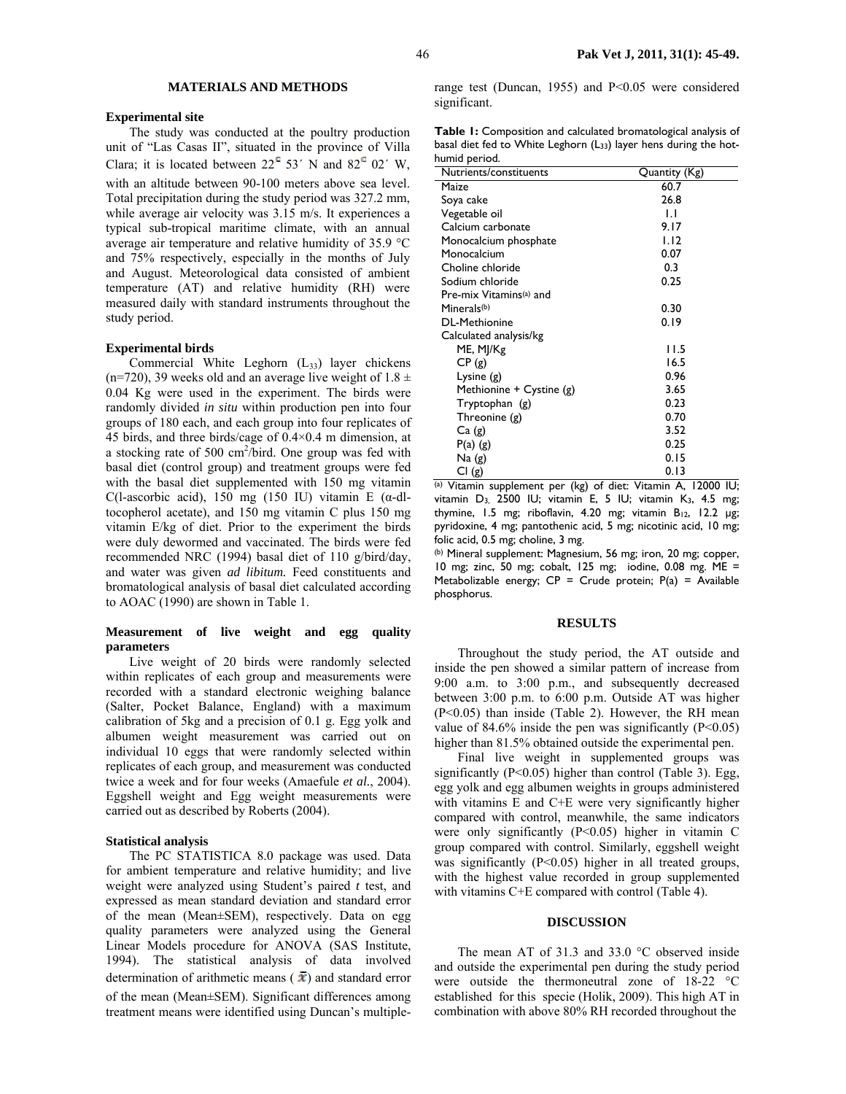## 46 **Pak Vet J, 2011, 31(1): 45-49.**

### **MATERIALS AND METHODS**

#### **Experimental site**

The study was conducted at the poultry production unit of "Las Casas II", situated in the province of Villa Clara; it is located between  $22^{\circ}$  53<sup>'</sup> N and  $82^{\circ}$  02<sup>'</sup> W, with an altitude between 90-100 meters above sea level. Total precipitation during the study period was 327.2 mm, while average air velocity was 3.15 m/s. It experiences a typical sub-tropical maritime climate, with an annual average air temperature and relative humidity of 35.9 °C and 75% respectively, especially in the months of July and August. Meteorological data consisted of ambient temperature (AT) and relative humidity (RH) were measured daily with standard instruments throughout the study period.

#### **Experimental birds**

Commercial White Leghorn  $(L_{33})$  layer chickens (n=720), 39 weeks old and an average live weight of  $1.8 \pm$ 0.04 Kg were used in the experiment. The birds were randomly divided *in situ* within production pen into four groups of 180 each, and each group into four replicates of 45 birds, and three birds/cage of 0.4×0.4 m dimension, at a stocking rate of 500  $\text{cm}^2/\text{bird}$ . One group was fed with basal diet (control group) and treatment groups were fed with the basal diet supplemented with 150 mg vitamin C(l-ascorbic acid), 150 mg (150 IU) vitamin E ( $\alpha$ -dltocopherol acetate), and 150 mg vitamin C plus 150 mg vitamin E/kg of diet. Prior to the experiment the birds were duly dewormed and vaccinated. The birds were fed recommended NRC (1994) basal diet of 110 g/bird/day, and water was given *ad libitum.* Feed constituents and bromatological analysis of basal diet calculated according to AOAC (1990) are shown in Table 1.

### **Measurement of live weight and egg quality parameters**

Live weight of 20 birds were randomly selected within replicates of each group and measurements were recorded with a standard electronic weighing balance (Salter, Pocket Balance, England) with a maximum calibration of 5kg and a precision of 0.1 g. Egg yolk and albumen weight measurement was carried out on individual 10 eggs that were randomly selected within replicates of each group, and measurement was conducted twice a week and for four weeks (Amaefule *et al.*, 2004). Eggshell weight and Egg weight measurements were carried out as described by Roberts (2004).

#### **Statistical analysis**

The PC STATISTICA 8.0 package was used. Data for ambient temperature and relative humidity; and live weight were analyzed using Student's paired *t* test, and expressed as mean standard deviation and standard error of the mean (Mean±SEM), respectively. Data on egg quality parameters were analyzed using the General Linear Models procedure for ANOVA (SAS Institute, 1994). The statistical analysis of data involved determination of arithmetic means ( $\bar{x}$ ) and standard error of the mean (Mean±SEM). Significant differences among treatment means were identified using Duncan's multiplerange test (Duncan, 1955) and P<0.05 were considered significant.

**Table 1:** Composition and calculated bromatological analysis of basal diet fed to White Leghorn (L33) layer hens during the hothumid period.

| Nutrients/constituents   | Quantity (Kg) |
|--------------------------|---------------|
| Maize                    | 60.7          |
| Soya cake                | 26.8          |
| Vegetable oil            | IJ            |
| Calcium carbonate        | 9.17          |
| Monocalcium phosphate    | 1.12          |
| Monocalcium              | 0.07          |
| Choline chloride         | 0.3           |
| Sodium chloride          | 0.25          |
| Pre-mix Vitamins(a) and  |               |
| Minerals(b)              | 0.30          |
| <b>DL-Methionine</b>     | 0.19          |
| Calculated analysis/kg   |               |
| ME, MJ/Kg                | 11.5          |
| CP(g)                    | 16.5          |
| Lysine $(g)$             | 0.96          |
| Methionine + Cystine (g) | 3.65          |
| Tryptophan (g)           | 0.23          |
| Threonine (g)            | 0.70          |
| Ca(g)                    | 3.52          |
| $P(a)$ (g)               | 0.25          |
| Na(g)                    | 0.15          |
| CI(g)                    | 0.13          |

(a) Vitamin supplement per (kg) of diet: Vitamin A, 12000 IU; vitamin D3, 2500 IU; vitamin E, 5 IU; vitamin K3, 4.5 mg; thymine, 1.5 mg; riboflavin, 4.20 mg; vitamin  $B_{12}$ , 12.2 µg; pyridoxine, 4 mg; pantothenic acid, 5 mg; nicotinic acid, 10 mg; folic acid, 0.5 mg; choline, 3 mg.

(b) Mineral supplement: Magnesium, 56 mg; iron, 20 mg; copper, 10 mg; zinc, 50 mg; cobalt, 125 mg; iodine, 0.08 mg. ME = Metabolizable energy;  $CP =$  Crude protein;  $P(a) =$  Available phosphorus.

#### **RESULTS**

Throughout the study period, the AT outside and inside the pen showed a similar pattern of increase from 9:00 a.m. to 3:00 p.m., and subsequently decreased between 3:00 p.m. to 6:00 p.m. Outside AT was higher (P<0.05) than inside (Table 2). However, the RH mean value of 84.6% inside the pen was significantly  $(P<0.05)$ higher than 81.5% obtained outside the experimental pen.

Final live weight in supplemented groups was significantly  $(P<0.05)$  higher than control (Table 3). Egg, egg yolk and egg albumen weights in groups administered with vitamins E and C+E were very significantly higher compared with control, meanwhile, the same indicators were only significantly (P<0.05) higher in vitamin C group compared with control. Similarly, eggshell weight was significantly  $(P<0.05)$  higher in all treated groups, with the highest value recorded in group supplemented with vitamins C+E compared with control (Table 4).

#### **DISCUSSION**

The mean AT of 31.3 and 33.0 °C observed inside and outside the experimental pen during the study period were outside the thermoneutral zone of 18-22 °C established for this specie (Holik, 2009). This high AT in combination with above 80% RH recorded throughout the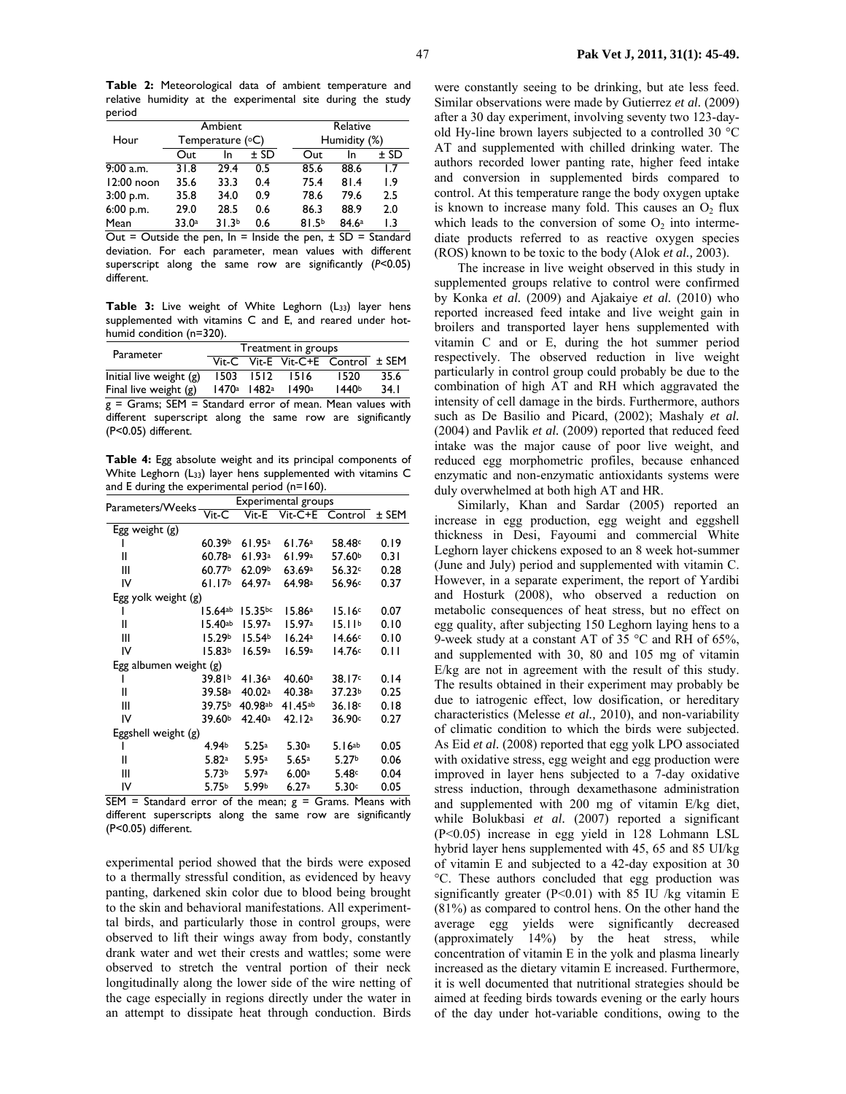**Table 2:** Meteorological data of ambient temperature and relative humidity at the experimental site during the study period

|              | Ambient          |                   |              | Relative          |       |        |
|--------------|------------------|-------------------|--------------|-------------------|-------|--------|
| Hour         | Temperature (°C) |                   | Humidity (%) |                   |       |        |
|              | Out              | In.               | $±$ SD       | Out               | In    | $±$ SD |
| $9:00$ a.m.  | 31.8             | 29.4              | 0.5          | 85.6              | 88.6  | 1.7    |
| $12:00$ noon | 35.6             | 33.3              | 0.4          | 75.4              | 81.4  | 1.9    |
| $3:00$ p.m.  | 35.8             | 34.0              | 0.9          | 78.6              | 79.6  | 2.5    |
| 6:00 p.m.    | 29.0             | 28.5              | 0.6          | 86.3              | 88.9  | 2.0    |
| Mean         | 33.0a            | 31.3 <sup>b</sup> | 0.6          | 81.5 <sup>b</sup> | 84.6a | 1.3    |

Out = Outside the pen,  $\ln$  = Inside the pen,  $\pm$  SD = Standard deviation. For each parameter, mean values with different superscript along the same row are significantly (*P*<0.05) different.

Table 3: Live weight of White Leghorn (L<sub>33</sub>) layer hens supplemented with vitamins C and E, and reared under hothumid condition (n=320).

| Parameter                 | Treatment in groups |           |       |                                   |      |
|---------------------------|---------------------|-----------|-------|-----------------------------------|------|
|                           |                     |           |       | Vit-C Vit-E Vit-C+E Control ± SEM |      |
| Initial live weight $(g)$ |                     | 1503 1512 | 1516  | 1520                              | 35.6 |
| Final live weight $(g)$   | 1470a               | 1482ª     | 1490a | 1440 <sup>b</sup>                 | 34.1 |

 $g =$  Grams; SEM = Standard error of mean. Mean values with different superscript along the same row are significantly (P<0.05) different.

**Table 4:** Egg absolute weight and its principal components of White Leghorn (L33) layer hens supplemented with vitamins C and E during the experimental period (n=160).

| Parameters/Weeks       | Experimental groups        |                       |              |                    |       |  |
|------------------------|----------------------------|-----------------------|--------------|--------------------|-------|--|
|                        | $\overline{\text{V}}$ it-C | Vit-E                 | $V$ it-C+E   | Control            | ± SEM |  |
| Egg weight (g)         |                            |                       |              |                    |       |  |
|                        | 60.39b                     | 61.95a                | 61.76a       | 58.48c             | 0.19  |  |
| Ш                      | 60.78a                     | 61.93a                | 61.99a       | 57.60 <sup>b</sup> | 0.31  |  |
| Ш                      | 60.77b                     | 62.09b                | 63.69a       | 56.32c             | 0.28  |  |
| IV                     | 61.17 <sup>b</sup>         | 64.97a                | 64.98a       | 56.96 <sup>c</sup> | 0.37  |  |
| Egg yolk weight (g)    |                            |                       |              |                    |       |  |
|                        | $15.64$ ab                 | 15.35bc               | 15.86a       | 15.16c             | 0.07  |  |
| Ш                      | $15.40$ ab                 | 15.97a                | 15.97a       | 15.11 <sup>b</sup> | 0.10  |  |
| Ш                      | 15.29 <sub>b</sub>         | 15.54 <sup>b</sup>    | 16.24a       | 14.66c             | 0.10  |  |
| IV                     | 15.83b                     | 16.59a                | 16.59a       | 14.76c             | 0.11  |  |
| Egg albumen weight (g) |                            |                       |              |                    |       |  |
|                        | 39.81b                     | 41.36a                | 40.60a       | 38.17 <sup>c</sup> | 0.14  |  |
| Ш                      | 39.58 <sup>a</sup>         | 40.02a                | 40.38a       | 37.23b             | 0.25  |  |
| Ш                      | 39.75b                     | $40.98$ <sup>ab</sup> | $41.45^{ab}$ | 36.18c             | 0.18  |  |
| IV                     | 39.60b                     | 42.40a                | 42.12a       | 36.90c             | 0.27  |  |
| Eggshell weight (g)    |                            |                       |              |                    |       |  |
|                        | 4.94b                      | 5.25a                 | 5.30a        | 5.16ab             | 0.05  |  |
| Ш                      | 5.82a                      | 5.95a                 | 5.65a        | 5.27 <sup>b</sup>  | 0.06  |  |
| Ш                      | 5.73 <sup>b</sup>          | 5.97a                 | 6.00a        | 5.48c              | 0.04  |  |
| IV                     | 5.75 <sup>b</sup>          | 5.99b                 | 6.27a        | 5.30c              | 0.05  |  |
|                        |                            |                       |              |                    |       |  |

 $SEM = Standard$  error of the mean;  $g = Grams$ . Means with different superscripts along the same row are significantly (P<0.05) different.

experimental period showed that the birds were exposed to a thermally stressful condition, as evidenced by heavy panting, darkened skin color due to blood being brought to the skin and behavioral manifestations. All experimenttal birds, and particularly those in control groups, were observed to lift their wings away from body, constantly drank water and wet their crests and wattles; some were observed to stretch the ventral portion of their neck longitudinally along the lower side of the wire netting of the cage especially in regions directly under the water in an attempt to dissipate heat through conduction. Birds

were constantly seeing to be drinking, but ate less feed. Similar observations were made by Gutierrez *et al.* (2009) after a 30 day experiment, involving seventy two 123-dayold Hy-line brown layers subjected to a controlled 30 °C AT and supplemented with chilled drinking water. The authors recorded lower panting rate, higher feed intake and conversion in supplemented birds compared to control. At this temperature range the body oxygen uptake is known to increase many fold. This causes an  $O<sub>2</sub>$  flux which leads to the conversion of some  $O<sub>2</sub>$  into intermediate products referred to as reactive oxygen species (ROS) known to be toxic to the body (Alok *et al.,* 2003).

The increase in live weight observed in this study in supplemented groups relative to control were confirmed by Konka *et al.* (2009) and Ajakaiye *et al.* (2010) who reported increased feed intake and live weight gain in broilers and transported layer hens supplemented with vitamin C and or E, during the hot summer period respectively. The observed reduction in live weight particularly in control group could probably be due to the combination of high AT and RH which aggravated the intensity of cell damage in the birds. Furthermore, authors such as De Basilio and Picard, (2002); Mashaly *et al.* (2004) and Pavlik *et al.* (2009) reported that reduced feed intake was the major cause of poor live weight, and reduced egg morphometric profiles, because enhanced enzymatic and non-enzymatic antioxidants systems were duly overwhelmed at both high AT and HR.

Similarly, Khan and Sardar (2005) reported an increase in egg production, egg weight and eggshell thickness in Desi, Fayoumi and commercial White Leghorn layer chickens exposed to an 8 week hot-summer (June and July) period and supplemented with vitamin C. However, in a separate experiment, the report of Yardibi and Hosturk (2008), who observed a reduction on metabolic consequences of heat stress, but no effect on egg quality, after subjecting 150 Leghorn laying hens to a 9-week study at a constant AT of 35 °C and RH of 65%, and supplemented with 30, 80 and 105 mg of vitamin E/kg are not in agreement with the result of this study. The results obtained in their experiment may probably be due to iatrogenic effect, low dosification, or hereditary characteristics (Melesse *et al.,* 2010), and non-variability of climatic condition to which the birds were subjected. As Eid *et al.* (2008) reported that egg yolk LPO associated with oxidative stress, egg weight and egg production were improved in layer hens subjected to a 7-day oxidative stress induction, through dexamethasone administration and supplemented with 200 mg of vitamin E/kg diet, while Bolukbasi *et al.* (2007) reported a significant (P<0.05) increase in egg yield in 128 Lohmann LSL hybrid layer hens supplemented with 45, 65 and 85 UI/kg of vitamin E and subjected to a 42-day exposition at 30 °C. These authors concluded that egg production was significantly greater  $(P<0.01)$  with 85 IU /kg vitamin E (81%) as compared to control hens. On the other hand the average egg yields were significantly decreased (approximately 14%) by the heat stress, while concentration of vitamin E in the yolk and plasma linearly increased as the dietary vitamin E increased. Furthermore, it is well documented that nutritional strategies should be aimed at feeding birds towards evening or the early hours of the day under hot-variable conditions, owing to the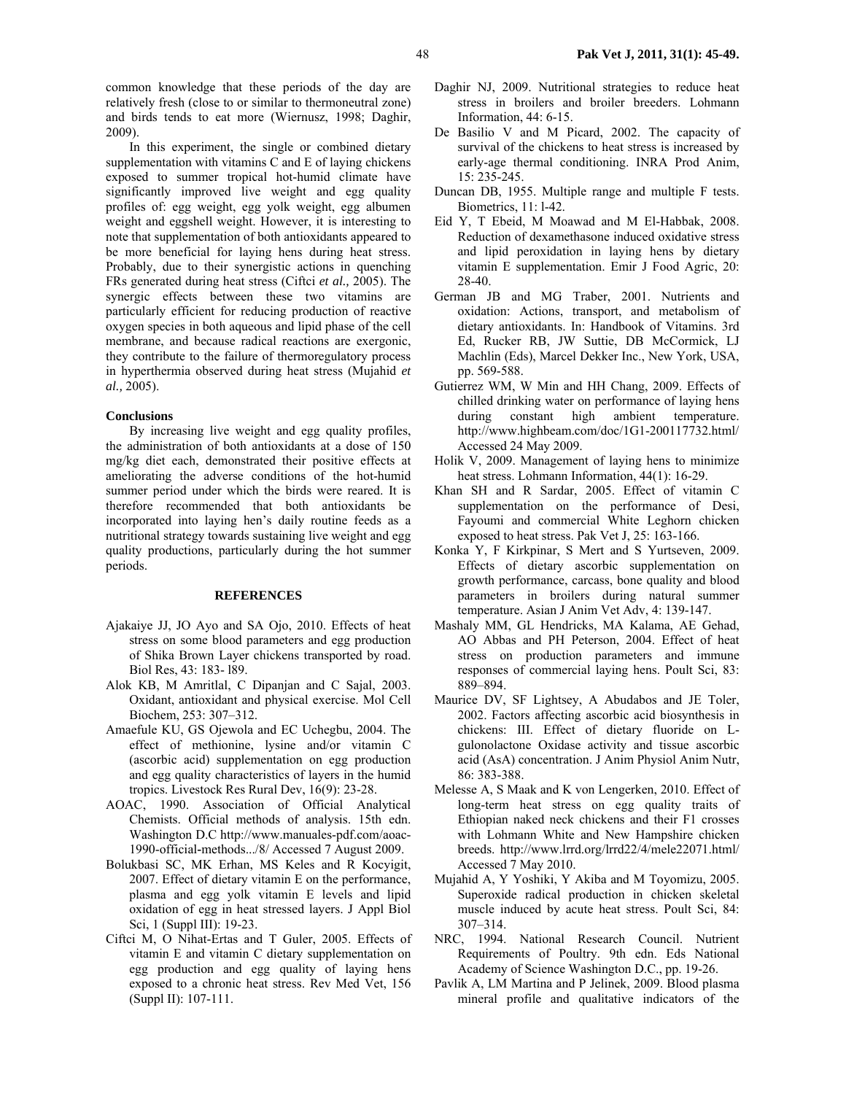common knowledge that these periods of the day are relatively fresh (close to or similar to thermoneutral zone) and birds tends to eat more (Wiernusz, 1998; Daghir, 2009).

In this experiment, the single or combined dietary supplementation with vitamins C and E of laying chickens exposed to summer tropical hot-humid climate have significantly improved live weight and egg quality profiles of: egg weight, egg yolk weight, egg albumen weight and eggshell weight. However, it is interesting to note that supplementation of both antioxidants appeared to be more beneficial for laying hens during heat stress. Probably, due to their synergistic actions in quenching FRs generated during heat stress (Ciftci *et al.,* 2005). The synergic effects between these two vitamins are particularly efficient for reducing production of reactive oxygen species in both aqueous and lipid phase of the cell membrane, and because radical reactions are exergonic, they contribute to the failure of thermoregulatory process in hyperthermia observed during heat stress (Mujahid *et al.,* 2005).

#### **Conclusions**

By increasing live weight and egg quality profiles, the administration of both antioxidants at a dose of 150 mg/kg diet each, demonstrated their positive effects at ameliorating the adverse conditions of the hot-humid summer period under which the birds were reared. It is therefore recommended that both antioxidants be incorporated into laying hen's daily routine feeds as a nutritional strategy towards sustaining live weight and egg quality productions, particularly during the hot summer periods.

### **REFERENCES**

- Ajakaiye JJ, JO Ayo and SA Ojo, 2010. Effects of heat stress on some blood parameters and egg production of Shika Brown Layer chickens transported by road. Biol Res, 43: 183- l89.
- Alok KB, M Amritlal, C Dipanjan and C Sajal, 2003. Oxidant, antioxidant and physical exercise. Mol Cell Biochem, 253: 307–312.
- Amaefule KU, GS Ojewola and EC Uchegbu, 2004. The effect of methionine, lysine and/or vitamin C (ascorbic acid) supplementation on egg production and egg quality characteristics of layers in the humid tropics. Livestock Res Rural Dev, 16(9): 23-28.
- AOAC, 1990. Association of Official Analytical Chemists. Official methods of analysis. 15th edn. Washington D.C http://www.manuales-pdf.com/aoac-1990-official**-**methods.../8/ Accessed 7 August 2009.
- Bolukbasi SC, MK Erhan, MS Keles and R Kocyigit, 2007. Effect of dietary vitamin E on the performance, plasma and egg yolk vitamin E levels and lipid oxidation of egg in heat stressed layers. J Appl Biol Sci, 1 (Suppl III): 19-23.
- Ciftci M, O Nihat-Ertas and T Guler, 2005. Effects of vitamin E and vitamin C dietary supplementation on egg production and egg quality of laying hens exposed to a chronic heat stress. Rev Med Vet, 156 (Suppl II): 107-111.
- Daghir NJ, 2009. Nutritional strategies to reduce heat stress in broilers and broiler breeders. Lohmann Information, 44: 6-15.
- De Basilio V and M Picard, 2002. The capacity of survival of the chickens to heat stress is increased by early-age thermal conditioning. INRA Prod Anim, 15: 235-245.
- Duncan DB, 1955. Multiple range and multiple F tests. Biometrics, 11: l-42.
- Eid Y, T Ebeid, M Moawad and M El-Habbak, 2008. Reduction of dexamethasone induced oxidative stress and lipid peroxidation in laying hens by dietary vitamin E supplementation. Emir J Food Agric, 20: 28-40.
- German JB and MG Traber, 2001. Nutrients and oxidation: Actions, transport, and metabolism of dietary antioxidants. In: Handbook of Vitamins. 3rd Ed, Rucker RB, JW Suttie, DB McCormick, LJ Machlin (Eds), Marcel Dekker Inc., New York, USA, pp. 569-588.
- Gutierrez WM, W Min and HH Chang, 2009. Effects of chilled drinking water on performance of laying hens during constant high ambient temperature. http://www.highbeam.com/doc/1G1-200117732.html/ Accessed 24 May 2009.
- Holik V, 2009. Management of laying hens to minimize heat stress. Lohmann Information, 44(1): 16-29.
- Khan SH and R Sardar, 2005. Effect of vitamin C supplementation on the performance of Desi, Fayoumi and commercial White Leghorn chicken exposed to heat stress. Pak Vet J, 25: 163-166.
- Konka Y, F Kirkpinar, S Mert and S Yurtseven, 2009. Effects of dietary ascorbic supplementation on growth performance, carcass, bone quality and blood parameters in broilers during natural summer temperature. Asian J Anim Vet Adv, 4: 139-147.
- Mashaly MM, GL Hendricks, MA Kalama, AE Gehad, AO Abbas and PH Peterson, 2004. Effect of heat stress on production parameters and immune responses of commercial laying hens. Poult Sci, 83: 889–894.
- Maurice DV, SF Lightsey, A Abudabos and JE Toler, 2002. Factors affecting ascorbic acid biosynthesis in chickens: III. Effect of dietary fluoride on Lgulonolactone Oxidase activity and tissue ascorbic acid (AsA) concentration. J Anim Physiol Anim Nutr, 86: 383-388.
- Melesse A, S Maak and K von Lengerken, 2010. Effect of long-term heat stress on egg quality traits of Ethiopian naked neck chickens and their F1 crosses with Lohmann White and New Hampshire chicken breeds. http://www.lrrd.org/lrrd22/4/mele22071.html/ Accessed 7 May 2010.
- Mujahid A, Y Yoshiki, Y Akiba and M Toyomizu, 2005. Superoxide radical production in chicken skeletal muscle induced by acute heat stress. Poult Sci, 84: 307–314.
- NRC, 1994. National Research Council. Nutrient Requirements of Poultry. 9th edn. Eds National Academy of Science Washington D.C., pp. 19-26.
- Pavlik A, LM Martina and P Jelinek, 2009. Blood plasma mineral profile and qualitative indicators of the